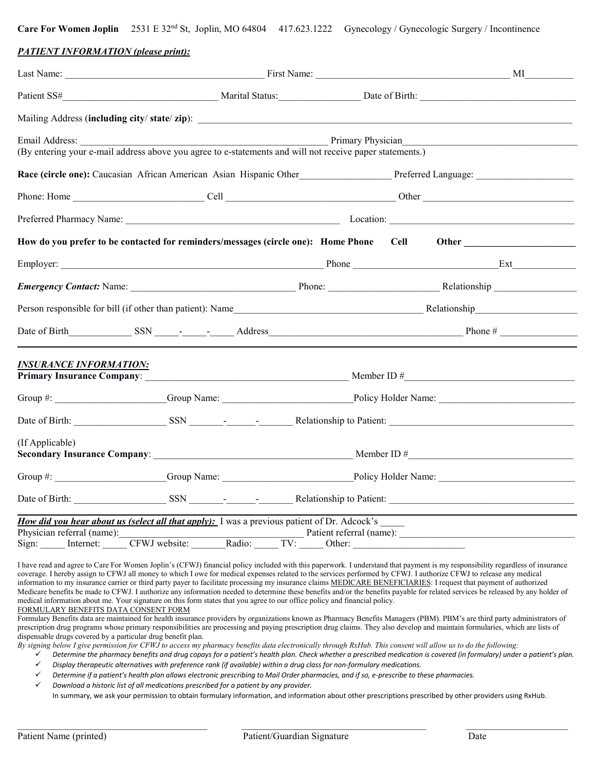**Care For Women Joplin** 2531 E 32nd St, Joplin, MO 64804 417.623.1222 Gynecology / Gynecologic Surgery / Incontinence

#### *PATIENT INFORMATION (please print):*

| Email Address: 2008. [19] Annual Address: 2008. [19] Annual Address: 2008. [19] Annual Address: 2008. [19] Annual Address: 2008. [19] Annual Address: 2008. [19] Annual Address: 2008. [19] Annual Address: 2008. [19] Annual<br>(By entering your e-mail address above you agree to e-statements and will not receive paper statements.) |        | Primary Physician |             |
|-------------------------------------------------------------------------------------------------------------------------------------------------------------------------------------------------------------------------------------------------------------------------------------------------------------------------------------------|--------|-------------------|-------------|
| Race (circle one): Caucasian African American Asian Hispanic Other Preferred Language: 1997                                                                                                                                                                                                                                               |        |                   |             |
|                                                                                                                                                                                                                                                                                                                                           |        |                   |             |
|                                                                                                                                                                                                                                                                                                                                           |        |                   |             |
| How do you prefer to be contacted for reminders/messages (circle one): Home Phone                                                                                                                                                                                                                                                         |        |                   | <b>Cell</b> |
|                                                                                                                                                                                                                                                                                                                                           |        |                   |             |
|                                                                                                                                                                                                                                                                                                                                           |        |                   |             |
|                                                                                                                                                                                                                                                                                                                                           |        |                   |             |
| Date of Birth SSN SALE COMPARED Address Address Phone #                                                                                                                                                                                                                                                                                   |        |                   |             |
| <b>INSURANCE INFORMATION:</b>                                                                                                                                                                                                                                                                                                             |        |                   |             |
|                                                                                                                                                                                                                                                                                                                                           |        |                   |             |
|                                                                                                                                                                                                                                                                                                                                           |        |                   |             |
| (If Applicable)                                                                                                                                                                                                                                                                                                                           |        |                   |             |
|                                                                                                                                                                                                                                                                                                                                           |        |                   |             |
|                                                                                                                                                                                                                                                                                                                                           |        |                   |             |
| <i>How did you hear about us (select all that apply)</i> : I was a previous patient of Dr. Adcock's<br>Physician referral (name):<br>CFWJ website:<br>Sign: Internet:                                                                                                                                                                     | Radio: | TV:<br>Other:     |             |

I have read and agree to Care For Women Joplin's (CFWJ) financial policy included with this paperwork. I understand that payment is my responsibility regardless of insurance coverage. I hereby assign to CFWJ all money to which I owe for medical expenses related to the services performed by CFWJ. I authorize CFWJ to release any medical information to my insurance carrier or third party payer to facilitate processing my insurance claims MEDICARE BENEFICIARIES: I request that payment of authorized Medicare benefits be made to CFWJ. I authorize any information needed to determine these benefits and/or the benefits payable for related services be released by any holder of medical information about me. Your signature on this form states that you agree to our office policy and financial policy. FORMULARY BENEFITS DATA CONSENT FORM

Formulary Benefits data are maintained for health insurance providers by organizations known as Pharmacy Benefits Managers (PBM). PBM's are third party administrators of prescription drug programs whose primary responsibilities are processing and paying prescription drug claims. They also develop and maintain formularies, which are lists of dispensable drugs covered by a particular drug benefit plan.

*By signing below I give permission for CFWJ to access my pharmacy benefits data electronically through RxHub. This consent will allow us to do the following:*

 *Determine the pharmacy benefits and drug copays for a patient's health plan. Check whether a prescribed medication is covered (in formulary) under a patient's plan. Display therapeutic alternatives with preference rank (if available) within a drug class for non-formulary medications.*

*Determine if a patient's health plan allows electronic prescribing to Mail Order pharmacies, and if so, e-prescribe to these pharmacies.*

 *Download a historic list of all medications prescribed for a patient by any provider.* In summary, we ask your permission to obtain formulary information, and information about other prescriptions prescribed by other providers using RxHub.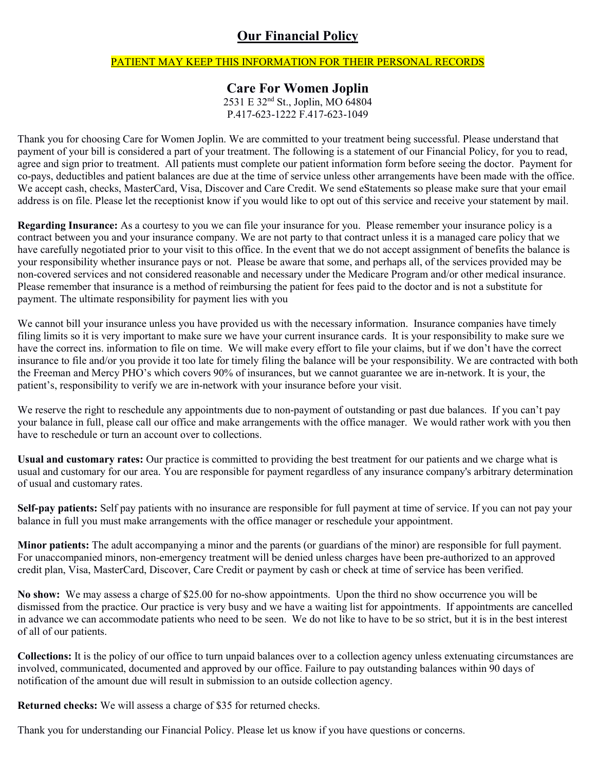### **Our Financial Policy**

### PATIENT MAY KEEP THIS INFORMATION FOR THEIR PERSONAL RECORDS

### **Care For Women Joplin**

2531 E 32nd St., Joplin, MO 64804 P.417-623-1222 F.417-623-1049

Thank you for choosing Care for Women Joplin. We are committed to your treatment being successful. Please understand that payment of your bill is considered a part of your treatment. The following is a statement of our Financial Policy, for you to read, agree and sign prior to treatment. All patients must complete our patient information form before seeing the doctor. Payment for co-pays, deductibles and patient balances are due at the time of service unless other arrangements have been made with the office. We accept cash, checks, MasterCard, Visa, Discover and Care Credit. We send eStatements so please make sure that your email address is on file. Please let the receptionist know if you would like to opt out of this service and receive your statement by mail.

**Regarding Insurance:** As a courtesy to you we can file your insurance for you. Please remember your insurance policy is a contract between you and your insurance company. We are not party to that contract unless it is a managed care policy that we have carefully negotiated prior to your visit to this office. In the event that we do not accept assignment of benefits the balance is your responsibility whether insurance pays or not. Please be aware that some, and perhaps all, of the services provided may be non-covered services and not considered reasonable and necessary under the Medicare Program and/or other medical insurance. Please remember that insurance is a method of reimbursing the patient for fees paid to the doctor and is not a substitute for payment. The ultimate responsibility for payment lies with you

We cannot bill your insurance unless you have provided us with the necessary information. Insurance companies have timely filing limits so it is very important to make sure we have your current insurance cards. It is your responsibility to make sure we have the correct ins. information to file on time. We will make every effort to file your claims, but if we don't have the correct insurance to file and/or you provide it too late for timely filing the balance will be your responsibility. We are contracted with both the Freeman and Mercy PHO's which covers 90% of insurances, but we cannot guarantee we are in-network. It is your, the patient's, responsibility to verify we are in-network with your insurance before your visit.

We reserve the right to reschedule any appointments due to non-payment of outstanding or past due balances. If you can't pay your balance in full, please call our office and make arrangements with the office manager. We would rather work with you then have to reschedule or turn an account over to collections.

**Usual and customary rates:** Our practice is committed to providing the best treatment for our patients and we charge what is usual and customary for our area. You are responsible for payment regardless of any insurance company's arbitrary determination of usual and customary rates.

**Self-pay patients:** Self pay patients with no insurance are responsible for full payment at time of service. If you can not pay your balance in full you must make arrangements with the office manager or reschedule your appointment.

**Minor patients:** The adult accompanying a minor and the parents (or guardians of the minor) are responsible for full payment. For unaccompanied minors, non-emergency treatment will be denied unless charges have been pre-authorized to an approved credit plan, Visa, MasterCard, Discover, Care Credit or payment by cash or check at time of service has been verified.

**No show:** We may assess a charge of \$25.00 for no-show appointments. Upon the third no show occurrence you will be dismissed from the practice. Our practice is very busy and we have a waiting list for appointments. If appointments are cancelled in advance we can accommodate patients who need to be seen. We do not like to have to be so strict, but it is in the best interest of all of our patients.

**Collections:** It is the policy of our office to turn unpaid balances over to a collection agency unless extenuating circumstances are involved, communicated, documented and approved by our office. Failure to pay outstanding balances within 90 days of notification of the amount due will result in submission to an outside collection agency.

**Returned checks:** We will assess a charge of \$35 for returned checks.

Thank you for understanding our Financial Policy. Please let us know if you have questions or concerns.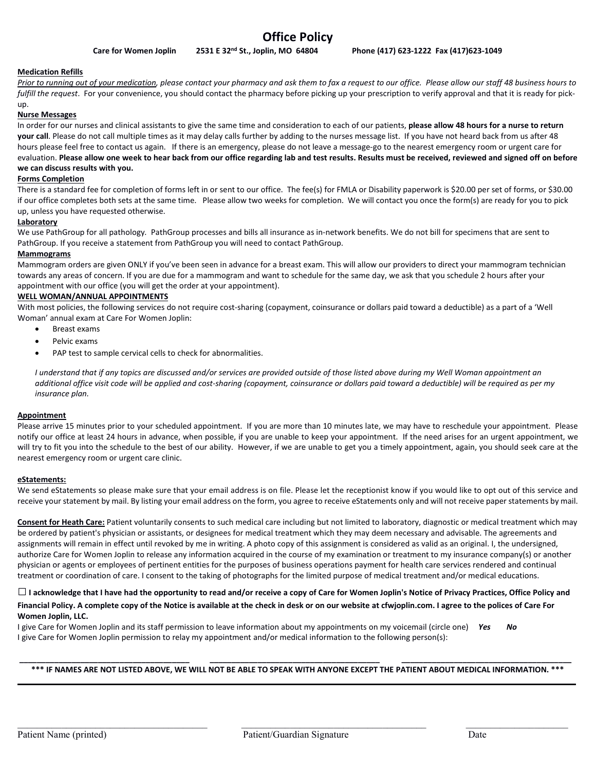#### **Medication Refills**

*Prior to running out of your medication, please contact your pharmacy and ask them to fax a request to our office. Please allow our staff 48 business hours to*  fulfill the request. For your convenience, you should contact the pharmacy before picking up your prescription to verify approval and that it is ready for pickup.

#### **Nurse Messages**

In order for our nurses and clinical assistants to give the same time and consideration to each of our patients, **please allow 48 hours for a nurse to return your call**. Please do not call multiple times as it may delay calls further by adding to the nurses message list. If you have not heard back from us after 48 hours please feel free to contact us again. If there is an emergency, please do not leave a message-go to the nearest emergency room or urgent care for evaluation. **Please allow one week to hear back from our office regarding lab and test results. Results must be received, reviewed and signed off on before we can discuss results with you.**

#### **Forms Completion**

There is a standard fee for completion of forms left in or sent to our office. The fee(s) for FMLA or Disability paperwork is \$20.00 per set of forms, or \$30.00 if our office completes both sets at the same time. Please allow two weeks for completion. We will contact you once the form(s) are ready for you to pick up, unless you have requested otherwise.

#### **Laboratory**

We use PathGroup for all pathology*.* PathGroup processes and bills all insurance as in-network benefits. We do not bill for specimens that are sent to PathGroup. If you receive a statement from PathGroup you will need to contact PathGroup.

#### **Mammograms**

Mammogram orders are given ONLY if you've been seen in advance for a breast exam. This will allow our providers to direct your mammogram technician towards any areas of concern. If you are due for a mammogram and want to schedule for the same day, we ask that you schedule 2 hours after your appointment with our office (you will get the order at your appointment).

#### **WELL WOMAN/ANNUAL APPOINTMENTS**

With most policies, the following services do not require cost-sharing (copayment, coinsurance or dollars paid toward a deductible) as a part of a 'Well Woman' annual exam at Care For Women Joplin:

- Breast exams
- Pelvic exams
- PAP test to sample cervical cells to check for abnormalities.

*I understand that if any topics are discussed and/or services are provided outside of those listed above during my Well Woman appointment an additional office visit code will be applied and cost-sharing (copayment, coinsurance or dollars paid toward a deductible) will be required as per my insurance plan.* 

#### **Appointment**

Please arrive 15 minutes prior to your scheduled appointment. If you are more than 10 minutes late, we may have to reschedule your appointment. Please notify our office at least 24 hours in advance, when possible, if you are unable to keep your appointment. If the need arises for an urgent appointment, we will try to fit you into the schedule to the best of our ability. However, if we are unable to get you a timely appointment, again, you should seek care at the nearest emergency room or urgent care clinic.

#### **eStatements:**

We send eStatements so please make sure that your email address is on file. Please let the receptionist know if you would like to opt out of this service and receive your statement by mail. By listing your email address on the form, you agree to receive eStatements only and will not receive paper statements by mail.

**Consent for Heath Care:** Patient voluntarily consents to such medical care including but not limited to laboratory, diagnostic or medical treatment which may be ordered by patient's physician or assistants, or designees for medical treatment which they may deem necessary and advisable. The agreements and assignments will remain in effect until revoked by me in writing. A photo copy of this assignment is considered as valid as an original. I, the undersigned, authorize Care for Women Joplin to release any information acquired in the course of my examination or treatment to my insurance company(s) or another physician or agents or employees of pertinent entities for the purposes of business operations payment for health care services rendered and continual treatment or coordination of care. I consent to the taking of photographs for the limited purpose of medical treatment and/or medical educations.

#### **□I acknowledge that I have had the opportunity to read and/or receive a copy of Care for Women Joplin's Notice of Privacy Practices, Office Policy and Financial Policy. A complete copy of the Notice is available at the check in desk or on our website at cfwjoplin.com. I agree to the polices of Care For Women Joplin, LLC.**

I give Care for Women Joplin and its staff permission to leave information about my appointments on my voicemail (circle one) *Yes No* I give Care for Women Joplin permission to relay my appointment and/or medical information to the following person(s):

#### **\_\_\_\_\_\_\_\_\_\_\_\_\_\_\_\_\_\_\_\_\_\_\_\_\_\_\_\_\_\_\_\_\_\_\_\_\_\_\_ \_\_\_\_\_\_\_\_\_\_\_\_\_\_\_\_\_\_\_\_\_\_\_\_\_\_\_\_\_\_\_\_\_\_\_\_\_\_\_ \_\_\_\_\_\_\_\_\_\_\_\_\_\_\_\_\_\_\_\_\_\_\_\_\_\_\_\_\_\_\_\_\_\_\_\_\_\_\_ \*\*\* IF NAMES ARE NOT LISTED ABOVE, WE WILL NOT BE ABLE TO SPEAK WITH ANYONE EXCEPT THE PATIENT ABOUT MEDICAL INFORMATION. \*\*\* \_\_\_\_\_\_\_\_\_\_\_\_\_\_\_\_\_\_\_\_\_\_\_\_\_\_\_\_\_\_\_\_\_\_\_\_\_\_\_\_\_\_\_\_\_\_\_\_\_\_\_\_\_\_\_\_\_\_\_\_\_\_\_\_\_\_\_\_\_\_\_\_\_\_\_\_\_\_\_\_\_\_\_\_\_\_\_\_\_\_\_\_\_\_\_\_\_\_\_\_\_\_\_\_\_\_\_\_\_\_\_\_\_\_\_\_\_\_\_\_\_\_\_\_\_\_\_\_**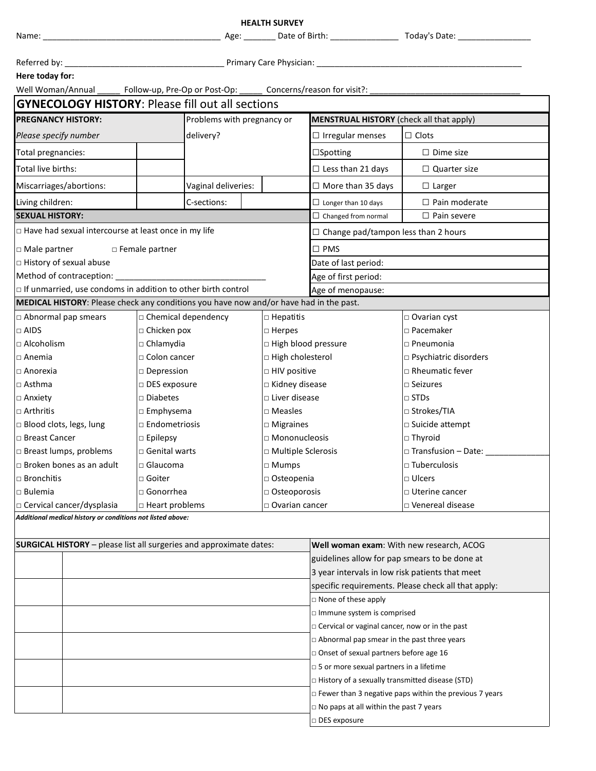|                                                                                                                                                        |                                         | <b>HEALTH SURVEY</b>                   |                                                                                            |                                                                  |  |
|--------------------------------------------------------------------------------------------------------------------------------------------------------|-----------------------------------------|----------------------------------------|--------------------------------------------------------------------------------------------|------------------------------------------------------------------|--|
| Name:                                                                                                                                                  |                                         |                                        |                                                                                            |                                                                  |  |
|                                                                                                                                                        |                                         |                                        |                                                                                            |                                                                  |  |
| Here today for:                                                                                                                                        |                                         |                                        |                                                                                            |                                                                  |  |
| Well Woman/Annual ______ Follow-up, Pre-Op or Post-Op: ______ Concerns/reason for visit?: __________                                                   |                                         |                                        |                                                                                            |                                                                  |  |
| <b>GYNECOLOGY HISTORY: Please fill out all sections</b>                                                                                                |                                         |                                        |                                                                                            |                                                                  |  |
| <b>PREGNANCY HISTORY:</b>                                                                                                                              | Problems with pregnancy or              |                                        | <b>MENSTRUAL HISTORY</b> (check all that apply)                                            |                                                                  |  |
| Please specify number                                                                                                                                  | delivery?                               |                                        | $\Box$ Irregular menses                                                                    | $\square$ Clots                                                  |  |
| Total pregnancies:                                                                                                                                     |                                         |                                        | $\square$ Spotting                                                                         | $\Box$ Dime size                                                 |  |
| Total live births:                                                                                                                                     |                                         |                                        | $\Box$ Less than 21 days                                                                   | $\Box$ Quarter size                                              |  |
| Miscarriages/abortions:                                                                                                                                | Vaginal deliveries:                     |                                        | $\Box$ More than 35 days                                                                   | $\Box$ Larger                                                    |  |
| Living children:                                                                                                                                       | C-sections:                             |                                        | $\Box$ Longer than 10 days                                                                 | $\Box$ Pain moderate                                             |  |
| <b>SEXUAL HISTORY:</b>                                                                                                                                 |                                         |                                        | $\Box$ Changed from normal                                                                 | $\Box$ Pain severe                                               |  |
| □ Have had sexual intercourse at least once in my life                                                                                                 |                                         |                                        | $\Box$ Change pad/tampon less than 2 hours                                                 |                                                                  |  |
|                                                                                                                                                        |                                         |                                        |                                                                                            |                                                                  |  |
| □ Male partner                                                                                                                                         | □ Female partner                        |                                        | $\square$ PMS                                                                              |                                                                  |  |
| □ History of sexual abuse                                                                                                                              |                                         |                                        | Date of last period:                                                                       |                                                                  |  |
|                                                                                                                                                        |                                         |                                        | Age of first period:                                                                       |                                                                  |  |
| If unmarried, use condoms in addition to other birth control<br>MEDICAL HISTORY: Please check any conditions you have now and/or have had in the past. |                                         |                                        | Age of menopause:                                                                          |                                                                  |  |
|                                                                                                                                                        |                                         |                                        |                                                                                            |                                                                  |  |
| $\Box$ Abnormal pap smears                                                                                                                             | $\Box$ Chemical dependency              | $\Box$ Hepatitis                       |                                                                                            | $\Box$ Ovarian cyst                                              |  |
| $\Box$ AIDS<br>$\Box$ Alcoholism                                                                                                                       | □ Chicken pox                           | $\Box$ Herpes                          |                                                                                            | □ Pacemaker<br>$\Box$ Pneumonia                                  |  |
|                                                                                                                                                        | $\Box$ Chlamydia<br>$\Box$ Colon cancer |                                        | □ High blood pressure                                                                      |                                                                  |  |
| $\square$ Anemia<br>$\Box$ Anorexia                                                                                                                    |                                         | □ High cholesterol<br>□ HIV positive   |                                                                                            | □ Psychiatric disorders<br>$\Box$ Rheumatic fever                |  |
| $\Box$ Asthma                                                                                                                                          | $\square$ Depression                    |                                        | $\Box$ Kidney disease                                                                      | $\square$ Seizures                                               |  |
| $\Box$ Anxiety                                                                                                                                         | $\Box$ DES exposure<br>$\Box$ Diabetes  |                                        | $\Box$ Liver disease                                                                       | $\Box$ STDs                                                      |  |
| $\Box$ Arthritis                                                                                                                                       | $\Box$ Emphysema                        |                                        |                                                                                            | □ Strokes/TIA                                                    |  |
| □ Blood clots, legs, lung                                                                                                                              | $\Box$ Endometriosis                    |                                        |                                                                                            | □ Suicide attempt                                                |  |
| □ Breast Cancer                                                                                                                                        | $\square$ Epilepsy                      | $\square$ Migraines<br>□ Mononucleosis |                                                                                            | □ Thyroid                                                        |  |
| □ Breast lumps, problems                                                                                                                               | □ Genital warts                         | $\Box$ Multiple Sclerosis              |                                                                                            | $\Box$ Transfusion – Date:                                       |  |
| $\Box$ Broken bones as an adult                                                                                                                        | □ Glaucoma                              | □ Mumps                                |                                                                                            | □ Tuberculosis                                                   |  |
| $\square$ Bronchitis                                                                                                                                   | $\Box$ Goiter                           | □ Osteopenia                           |                                                                                            | $\Box$ Ulcers                                                    |  |
| □ Bulemia                                                                                                                                              | □ Gonorrhea                             | $\Box$ Osteoporosis                    |                                                                                            | □ Uterine cancer                                                 |  |
| □ Cervical cancer/dysplasia                                                                                                                            | □ Heart problems                        | □ Ovarian cancer                       |                                                                                            | □ Venereal disease                                               |  |
| Additional medical history or conditions not listed above:                                                                                             |                                         |                                        |                                                                                            |                                                                  |  |
|                                                                                                                                                        |                                         |                                        |                                                                                            |                                                                  |  |
| <b>SURGICAL HISTORY</b> - please list all surgeries and approximate dates:                                                                             |                                         |                                        | Well woman exam: With new research, ACOG                                                   |                                                                  |  |
|                                                                                                                                                        |                                         |                                        | guidelines allow for pap smears to be done at                                              |                                                                  |  |
|                                                                                                                                                        |                                         |                                        | 3 year intervals in low risk patients that meet                                            |                                                                  |  |
|                                                                                                                                                        |                                         |                                        |                                                                                            | specific requirements. Please check all that apply:              |  |
|                                                                                                                                                        |                                         |                                        | □ None of these apply                                                                      |                                                                  |  |
|                                                                                                                                                        |                                         |                                        | Immune system is comprised<br>□ Cervical or vaginal cancer, now or in the past             |                                                                  |  |
|                                                                                                                                                        |                                         |                                        | $\Box$ Abnormal pap smear in the past three years                                          |                                                                  |  |
|                                                                                                                                                        |                                         |                                        |                                                                                            |                                                                  |  |
|                                                                                                                                                        |                                         |                                        | □ Onset of sexual partners before age 16<br>$\Box$ 5 or more sexual partners in a lifetime |                                                                  |  |
|                                                                                                                                                        |                                         |                                        | $\Box$ History of a sexually transmitted disease (STD)                                     |                                                                  |  |
|                                                                                                                                                        |                                         |                                        |                                                                                            | $\square$ Fewer than 3 negative paps within the previous 7 years |  |
|                                                                                                                                                        |                                         |                                        | $\Box$ No paps at all within the past 7 years                                              |                                                                  |  |
|                                                                                                                                                        |                                         |                                        | □ DES exposure                                                                             |                                                                  |  |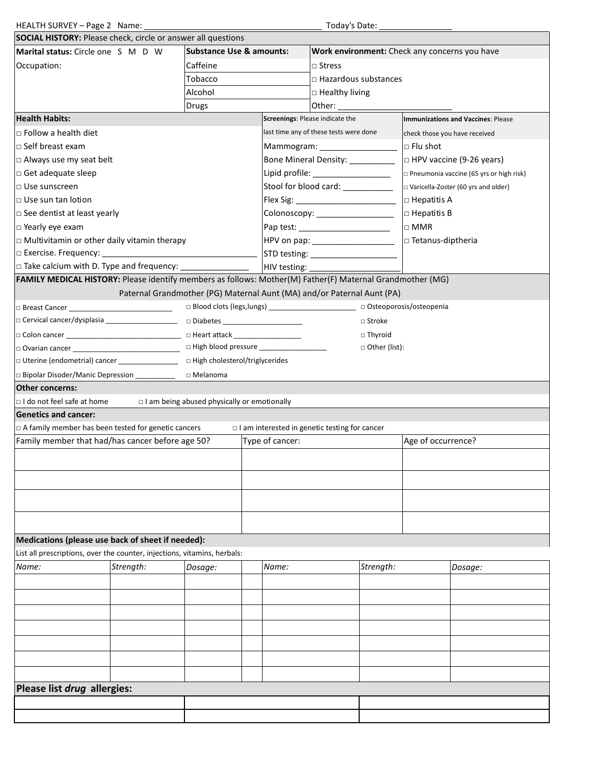| HEALTH SURVEY - Page 2 Name:                                                                              |                                                                        |                                                                                 |                                                                |                 |                                                      | Today's Date:  |                                           |                                                |  |
|-----------------------------------------------------------------------------------------------------------|------------------------------------------------------------------------|---------------------------------------------------------------------------------|----------------------------------------------------------------|-----------------|------------------------------------------------------|----------------|-------------------------------------------|------------------------------------------------|--|
| <b>SOCIAL HISTORY:</b> Please check, circle or answer all questions                                       |                                                                        |                                                                                 |                                                                |                 |                                                      |                |                                           |                                                |  |
| <b>Substance Use &amp; amounts:</b><br>Marital status: Circle one S M D W                                 |                                                                        |                                                                                 |                                                                |                 |                                                      |                |                                           | Work environment: Check any concerns you have  |  |
| Occupation:                                                                                               |                                                                        | Caffeine<br>Tobacco                                                             |                                                                |                 | □ Stress                                             |                |                                           |                                                |  |
|                                                                                                           |                                                                        |                                                                                 |                                                                |                 | $\Box$ Hazardous substances                          |                |                                           |                                                |  |
|                                                                                                           | Alcohol                                                                |                                                                                 |                                                                |                 | $\Box$ Healthy living                                |                |                                           |                                                |  |
|                                                                                                           |                                                                        | Drugs                                                                           |                                                                |                 | Other:                                               |                |                                           |                                                |  |
| <b>Health Habits:</b>                                                                                     |                                                                        |                                                                                 |                                                                |                 | Screenings: Please indicate the                      |                | <b>Immunizations and Vaccines: Please</b> |                                                |  |
| $\Box$ Follow a health diet                                                                               |                                                                        |                                                                                 |                                                                |                 | last time any of these tests were done               |                | check those you have received             |                                                |  |
| $\Box$ Self breast exam                                                                                   |                                                                        |                                                                                 |                                                                |                 | Mammogram: _____________________                     |                | $\Box$ Flu shot                           |                                                |  |
| □ Always use my seat belt                                                                                 |                                                                        |                                                                                 |                                                                |                 | Bone Mineral Density: _________                      |                | $\Box$ HPV vaccine (9-26 years)           |                                                |  |
| $\Box$ Get adequate sleep                                                                                 |                                                                        |                                                                                 |                                                                |                 | Lipid profile: __________________                    |                |                                           | $\Box$ Pneumonia vaccine (65 yrs or high risk) |  |
| □ Use sunscreen                                                                                           |                                                                        |                                                                                 | Stool for blood card: ___________                              |                 |                                                      |                |                                           | □ Varicella-Zoster (60 yrs and older)          |  |
| $\Box$ Use sun tan lotion                                                                                 |                                                                        |                                                                                 |                                                                |                 |                                                      |                | $\Box$ Hepatitis A                        |                                                |  |
| $\Box$ See dentist at least yearly                                                                        |                                                                        |                                                                                 |                                                                |                 | Colonoscopy: ___________________                     |                | $\Box$ Hepatitis B                        |                                                |  |
| $\Box$ Yearly eye exam                                                                                    |                                                                        |                                                                                 |                                                                |                 | Pap test: ________________________                   |                | $\Box$ MMR                                |                                                |  |
| $\Box$ Multivitamin or other daily vitamin therapy                                                        |                                                                        |                                                                                 |                                                                |                 | HPV on pap: ____________________                     |                | $\Box$ Tetanus-diptheria                  |                                                |  |
|                                                                                                           |                                                                        |                                                                                 |                                                                |                 | STD testing: _______________________                 |                |                                           |                                                |  |
|                                                                                                           |                                                                        |                                                                                 |                                                                | HIV testing:    |                                                      |                |                                           |                                                |  |
| FAMILY MEDICAL HISTORY: Please identify members as follows: Mother(M) Father(F) Maternal Grandmother (MG) |                                                                        |                                                                                 |                                                                |                 |                                                      |                |                                           |                                                |  |
|                                                                                                           | Paternal Grandmother (PG) Maternal Aunt (MA) and/or Paternal Aunt (PA) |                                                                                 |                                                                |                 |                                                      |                |                                           |                                                |  |
|                                                                                                           |                                                                        | □ Blood clots (legs, lungs) _________________________ □ Osteoporosis/osteopenia |                                                                |                 |                                                      |                |                                           |                                                |  |
|                                                                                                           |                                                                        |                                                                                 |                                                                |                 |                                                      | $\Box$ Stroke  |                                           |                                                |  |
|                                                                                                           |                                                                        |                                                                                 |                                                                |                 |                                                      | $\Box$ Thyroid |                                           |                                                |  |
| $\Box$ Ovarian cancer $\Box$                                                                              |                                                                        |                                                                                 | □ High blood pressure _____________________<br>□ Other (list): |                 |                                                      |                |                                           |                                                |  |
| □ Uterine (endometrial) cancer                                                                            |                                                                        | □ High cholesterol/triglycerides                                                |                                                                |                 |                                                      |                |                                           |                                                |  |
| □ Bipolar Disoder/Manic Depression                                                                        |                                                                        | $\Box$ Melanoma                                                                 |                                                                |                 |                                                      |                |                                           |                                                |  |
| <b>Other concerns:</b>                                                                                    |                                                                        |                                                                                 |                                                                |                 |                                                      |                |                                           |                                                |  |
| $\Box$ I do not feel safe at home                                                                         |                                                                        | I am being abused physically or emotionally                                     |                                                                |                 |                                                      |                |                                           |                                                |  |
| <b>Genetics and cancer:</b>                                                                               |                                                                        |                                                                                 |                                                                |                 |                                                      |                |                                           |                                                |  |
| □ A family member has been tested for genetic cancers                                                     |                                                                        |                                                                                 |                                                                |                 | $\Box$ I am interested in genetic testing for cancer |                |                                           |                                                |  |
| Family member that had/has cancer before age 50?                                                          |                                                                        |                                                                                 |                                                                | Type of cancer: |                                                      |                | Age of occurrence?                        |                                                |  |
|                                                                                                           |                                                                        |                                                                                 |                                                                |                 |                                                      |                |                                           |                                                |  |
|                                                                                                           |                                                                        |                                                                                 |                                                                |                 |                                                      |                |                                           |                                                |  |
|                                                                                                           |                                                                        |                                                                                 |                                                                |                 |                                                      |                |                                           |                                                |  |
|                                                                                                           |                                                                        |                                                                                 |                                                                |                 |                                                      |                |                                           |                                                |  |
|                                                                                                           |                                                                        |                                                                                 |                                                                |                 |                                                      |                |                                           |                                                |  |
|                                                                                                           |                                                                        |                                                                                 |                                                                |                 |                                                      |                |                                           |                                                |  |
|                                                                                                           |                                                                        |                                                                                 |                                                                |                 |                                                      |                |                                           |                                                |  |
| Medications (please use back of sheet if needed):                                                         |                                                                        |                                                                                 |                                                                |                 |                                                      |                |                                           |                                                |  |
| List all prescriptions, over the counter, injections, vitamins, herbals:                                  |                                                                        |                                                                                 |                                                                |                 |                                                      |                |                                           |                                                |  |
| Name:                                                                                                     | Strength:                                                              | Dosage:                                                                         |                                                                | Name:           |                                                      | Strength:      |                                           | Dosage:                                        |  |
|                                                                                                           |                                                                        |                                                                                 |                                                                |                 |                                                      |                |                                           |                                                |  |
|                                                                                                           |                                                                        |                                                                                 |                                                                |                 |                                                      |                |                                           |                                                |  |
|                                                                                                           |                                                                        |                                                                                 |                                                                |                 |                                                      |                |                                           |                                                |  |
|                                                                                                           |                                                                        |                                                                                 |                                                                |                 |                                                      |                |                                           |                                                |  |
|                                                                                                           |                                                                        |                                                                                 |                                                                |                 |                                                      |                |                                           |                                                |  |
|                                                                                                           |                                                                        |                                                                                 |                                                                |                 |                                                      |                |                                           |                                                |  |
|                                                                                                           |                                                                        |                                                                                 |                                                                |                 |                                                      |                |                                           |                                                |  |
|                                                                                                           |                                                                        |                                                                                 |                                                                |                 |                                                      |                |                                           |                                                |  |
| Please list drug allergies:                                                                               |                                                                        |                                                                                 |                                                                |                 |                                                      |                |                                           |                                                |  |
|                                                                                                           |                                                                        |                                                                                 |                                                                |                 |                                                      |                |                                           |                                                |  |
|                                                                                                           |                                                                        |                                                                                 |                                                                |                 |                                                      |                |                                           |                                                |  |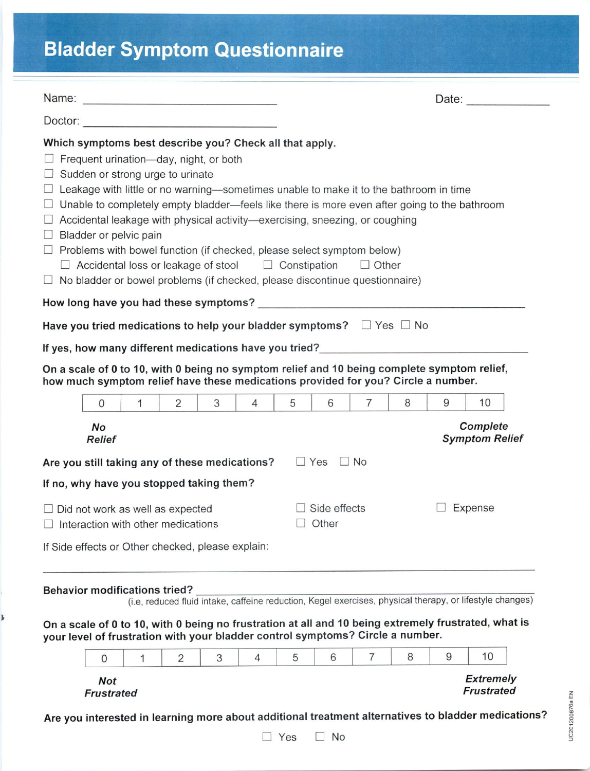# **Bladder Symptom Questionnaire**

|                                                                                                                                                                                                                                                                                                                                            |                                                            |              |                |                                                                                      |                |                     |              |                                                                                                                                                                                                                                                                                                                                                                |   |   |                                       | Date: |
|--------------------------------------------------------------------------------------------------------------------------------------------------------------------------------------------------------------------------------------------------------------------------------------------------------------------------------------------|------------------------------------------------------------|--------------|----------------|--------------------------------------------------------------------------------------|----------------|---------------------|--------------|----------------------------------------------------------------------------------------------------------------------------------------------------------------------------------------------------------------------------------------------------------------------------------------------------------------------------------------------------------------|---|---|---------------------------------------|-------|
|                                                                                                                                                                                                                                                                                                                                            |                                                            |              |                |                                                                                      |                |                     |              |                                                                                                                                                                                                                                                                                                                                                                |   |   |                                       |       |
| Which symptoms best describe you? Check all that apply.<br>$\Box$ No bladder or bowel problems (if checked, please discontinue questionnaire)                                                                                                                                                                                              | Sudden or strong urge to urinate<br>Bladder or pelvic pain |              |                | Frequent urination-day, night, or both<br>$\Box$ Accidental loss or leakage of stool |                | $\Box$ Constipation |              | Leakage with little or no warning-sometimes unable to make it to the bathroom in time<br>Unable to completely empty bladder-feels like there is more even after going to the bathroom<br>Accidental leakage with physical activity—exercising, sneezing, or coughing<br>Problems with bowel function (if checked, please select symptom below)<br>$\Box$ Other |   |   |                                       |       |
|                                                                                                                                                                                                                                                                                                                                            |                                                            |              |                |                                                                                      |                |                     |              |                                                                                                                                                                                                                                                                                                                                                                |   |   |                                       |       |
| Have you tried medications to help your bladder symptoms? $\square$ Yes $\square$ No                                                                                                                                                                                                                                                       |                                                            |              |                |                                                                                      |                |                     |              |                                                                                                                                                                                                                                                                                                                                                                |   |   |                                       |       |
| If yes, how many different medications have you tried?                                                                                                                                                                                                                                                                                     |                                                            |              |                |                                                                                      |                |                     |              |                                                                                                                                                                                                                                                                                                                                                                |   |   |                                       |       |
| On a scale of 0 to 10, with 0 being no symptom relief and 10 being complete symptom relief,<br>how much symptom relief have these medications provided for you? Circle a number.                                                                                                                                                           |                                                            |              |                |                                                                                      |                |                     |              |                                                                                                                                                                                                                                                                                                                                                                |   |   |                                       |       |
|                                                                                                                                                                                                                                                                                                                                            | $\mathbf 0$                                                | $\mathbf{1}$ | 2              | 3                                                                                    | $\overline{4}$ | 5                   | 6            | $\overline{7}$                                                                                                                                                                                                                                                                                                                                                 | 8 | 9 | 10                                    |       |
|                                                                                                                                                                                                                                                                                                                                            | Complete<br>No<br><b>Symptom Relief</b><br><b>Relief</b>   |              |                |                                                                                      |                |                     |              |                                                                                                                                                                                                                                                                                                                                                                |   |   |                                       |       |
| Are you still taking any of these medications?                                                                                                                                                                                                                                                                                             |                                                            |              |                |                                                                                      |                |                     | $\Box$ Yes   | $\Box$ No                                                                                                                                                                                                                                                                                                                                                      |   |   |                                       |       |
| If no, why have you stopped taking them?                                                                                                                                                                                                                                                                                                   |                                                            |              |                |                                                                                      |                |                     |              |                                                                                                                                                                                                                                                                                                                                                                |   |   |                                       |       |
|                                                                                                                                                                                                                                                                                                                                            | Did not work as well as expected                           |              |                |                                                                                      |                |                     | Side effects |                                                                                                                                                                                                                                                                                                                                                                |   |   | Expense                               |       |
|                                                                                                                                                                                                                                                                                                                                            | Interaction with other medications                         |              |                |                                                                                      |                |                     | Other        |                                                                                                                                                                                                                                                                                                                                                                |   |   |                                       |       |
| If Side effects or Other checked, please explain:                                                                                                                                                                                                                                                                                          |                                                            |              |                |                                                                                      |                |                     |              |                                                                                                                                                                                                                                                                                                                                                                |   |   |                                       |       |
| <b>Behavior modifications tried?</b><br>(i.e, reduced fluid intake, caffeine reduction, Kegel exercises, physical therapy, or lifestyle changes)<br>On a scale of 0 to 10, with 0 being no frustration at all and 10 being extremely frustrated, what is<br>your level of frustration with your bladder control symptoms? Circle a number. |                                                            |              |                |                                                                                      |                |                     |              |                                                                                                                                                                                                                                                                                                                                                                |   |   |                                       |       |
|                                                                                                                                                                                                                                                                                                                                            | $\mathbf{0}$                                               | 1            | $\overline{2}$ | 3                                                                                    | 4              | 5                   | 6            | $\overline{7}$                                                                                                                                                                                                                                                                                                                                                 | 8 | 9 | 10                                    |       |
|                                                                                                                                                                                                                                                                                                                                            | <b>Not</b><br><b>Frustrated</b>                            |              |                |                                                                                      |                |                     |              |                                                                                                                                                                                                                                                                                                                                                                |   |   | <b>Extremely</b><br><b>Frustrated</b> |       |

Are you interested in learning more about additional treatment alternatives to bladder medications?



UC201200876a EN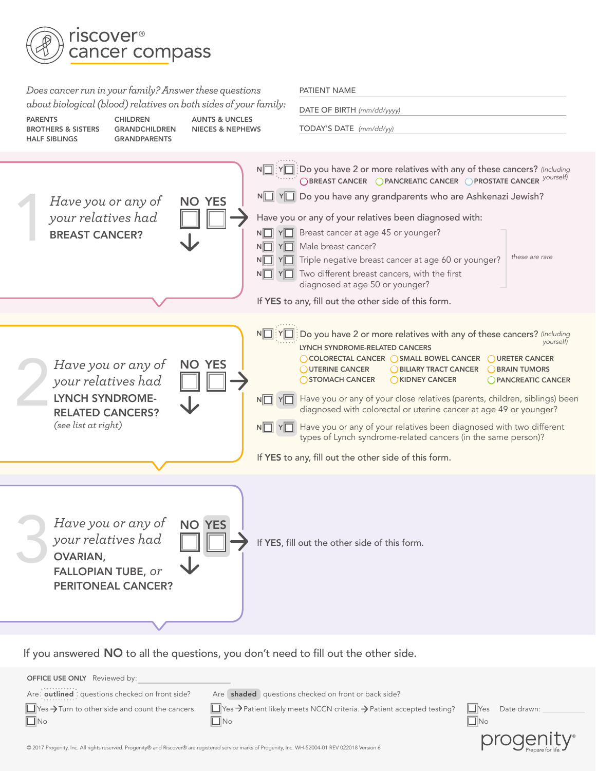

*Does cancer run in your family? Answer these questions about biological (blood) relatives on both sides of your family:*

| <b>PARENTS</b><br><b>CHILDREN</b><br><b>BROTHERS &amp; SISTERS</b><br><b>GRANDCHILDREN</b><br><b>HALF SIBLINGS</b><br><b>GRANDPARENTS</b> | <b>AUNTS &amp; UNCLES</b><br><b>NIECES &amp; NEPHEWS</b> | TODAY'S DATE (mm/dd/yy)                                                                                                                                                                                                                                                                                                                                                                                                                                                                                                                                                                                                                                                                             |
|-------------------------------------------------------------------------------------------------------------------------------------------|----------------------------------------------------------|-----------------------------------------------------------------------------------------------------------------------------------------------------------------------------------------------------------------------------------------------------------------------------------------------------------------------------------------------------------------------------------------------------------------------------------------------------------------------------------------------------------------------------------------------------------------------------------------------------------------------------------------------------------------------------------------------------|
| Have you or any of<br>your relatives had<br><b>BREAST CANCER?</b>                                                                         | <b>NO YES</b>                                            | $N\boxed{\color{orange}]}$ : $Y\boxed{\color{orange}]}$ : Do you have 2 or more relatives with any of these cancers? (Including<br>○BREAST CANCER ●PANCREATIC CANCER ●PROSTATE CANCER yourself)<br>NIVI YI Do you have any grandparents who are Ashkenazi Jewish?<br>Have you or any of your relatives been diagnosed with:<br>$N\Box Y\Box$ Breast cancer at age 45 or younger?<br>$N \Box Y \Box$ Male breast cancer?<br>these are rare<br>$N$ $\Box$ $Y$ $\Box$ Triple negative breast cancer at age 60 or younger?<br>$N$ $\Box$ $Y$ $\Box$ Two different breast cancers, with the first<br>diagnosed at age 50 or younger?<br>If YES to any, fill out the other side of this form.             |
|                                                                                                                                           |                                                          |                                                                                                                                                                                                                                                                                                                                                                                                                                                                                                                                                                                                                                                                                                     |
| Have you or any of<br>your relatives had<br><b>LYNCH SYNDROME-</b><br><b>RELATED CANCERS?</b><br>(see list at right)                      | N<br><b>NO YES</b>                                       | Do you have 2 or more relatives with any of these cancers? (Including<br>yourself)<br>LYNCH SYNDROME-RELATED CANCERS<br>◯ COLORECTAL CANCER ◯ SMALL BOWEL CANCER<br>OURETER CANCER<br>UTERINE CANCER<br>BILIARY TRACT CANCER<br><b>BRAIN TUMORS</b><br>STOMACH CANCER<br>KIDNEY CANCER<br><b>O PANCREATIC CANCER</b><br>NO YO Have you or any of your close relatives (parents, children, siblings) been<br>diagnosed with colorectal or uterine cancer at age 49 or younger?<br>$N$ $\Box$ $Y$ $\Box$ Have you or any of your relatives been diagnosed with two different<br>types of Lynch syndrome-related cancers (in the same person)?<br>If YES to any, fill out the other side of this form. |
| Have you or any of<br>your relatives had<br><b>OVARIAN,</b><br><b>FALLOPIAN TUBE, or</b><br><b>PERITONEAL CANCER?</b>                     | <b>NO YES</b>                                            | If YES, fill out the other side of this form.                                                                                                                                                                                                                                                                                                                                                                                                                                                                                                                                                                                                                                                       |

PATIENT NAME

DATE OF BIRTH *(mm/dd/yyyy)*

If you answeredNO to all the questions, you don't need to fill out the other side.

**OFFICE USE ONLY** Reviewed by: Are: outlined : questions checked on front side? Are shaded questions checked on front or back side?  $\Box$  Yes  $\rightarrow$  Turn to other side and count the cancers.  $\Box$ No  $\Box$  Yes  $\rightarrow$  Patient likely meets NCCN criteria.  $\rightarrow$  Patient accepted testing?  $\Box$ No Yes Date drawn:  $\Box$ No